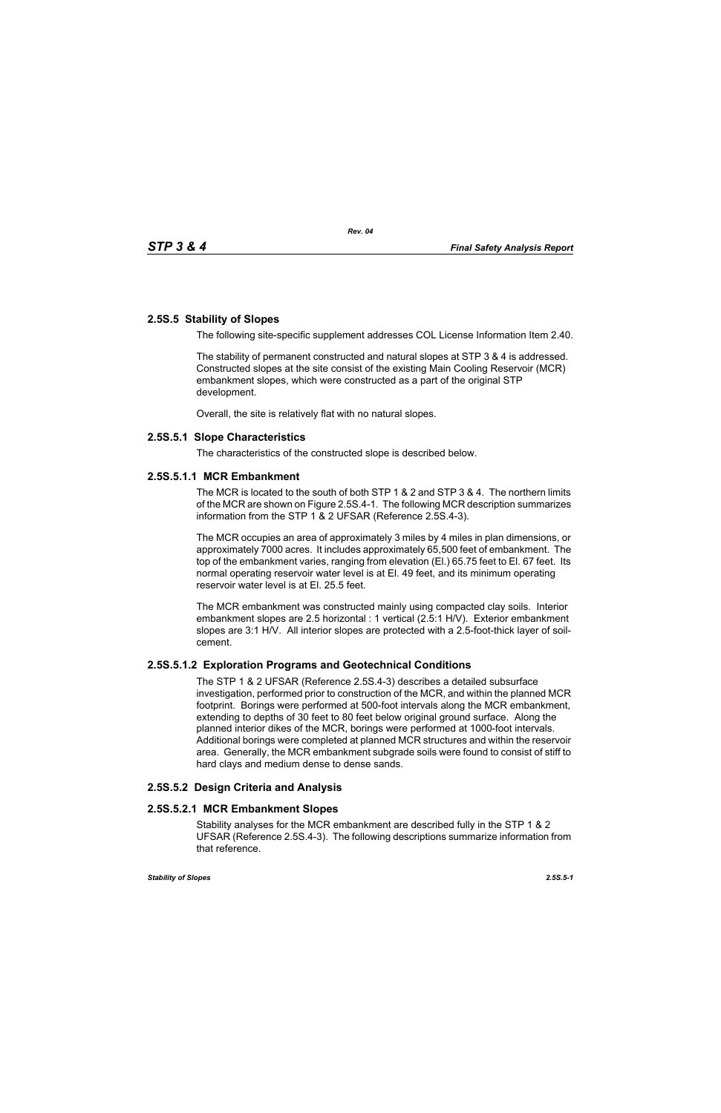# **2.5S.5 Stability of Slopes**

The following site-specific supplement addresses COL License Information Item 2.40.

The stability of permanent constructed and natural slopes at STP 3 & 4 is addressed. Constructed slopes at the site consist of the existing Main Cooling Reservoir (MCR) embankment slopes, which were constructed as a part of the original STP development.

Overall, the site is relatively flat with no natural slopes.

## **2.5S.5.1 Slope Characteristics**

The characteristics of the constructed slope is described below.

## **2.5S.5.1.1 MCR Embankment**

The MCR is located to the south of both STP 1 & 2 and STP 3 & 4. The northern limits of the MCR are shown on Figure 2.5S.4-1. The following MCR description summarizes information from the STP 1 & 2 UFSAR (Reference 2.5S.4-3).

The MCR occupies an area of approximately 3 miles by 4 miles in plan dimensions, or approximately 7000 acres. It includes approximately 65,500 feet of embankment. The top of the embankment varies, ranging from elevation (El.) 65.75 feet to El. 67 feet. Its normal operating reservoir water level is at El. 49 feet, and its minimum operating reservoir water level is at El. 25.5 feet.

The MCR embankment was constructed mainly using compacted clay soils. Interior embankment slopes are 2.5 horizontal : 1 vertical (2.5:1 H/V). Exterior embankment slopes are 3:1 H/V. All interior slopes are protected with a 2.5-foot-thick layer of soilcement.

## **2.5S.5.1.2 Exploration Programs and Geotechnical Conditions**

The STP 1 & 2 UFSAR (Reference 2.5S.4-3) describes a detailed subsurface investigation, performed prior to construction of the MCR, and within the planned MCR footprint. Borings were performed at 500-foot intervals along the MCR embankment, extending to depths of 30 feet to 80 feet below original ground surface. Along the planned interior dikes of the MCR, borings were performed at 1000-foot intervals. Additional borings were completed at planned MCR structures and within the reservoir area. Generally, the MCR embankment subgrade soils were found to consist of stiff to hard clays and medium dense to dense sands.

# **2.5S.5.2 Design Criteria and Analysis**

## **2.5S.5.2.1 MCR Embankment Slopes**

Stability analyses for the MCR embankment are described fully in the STP 1 & 2 UFSAR (Reference 2.5S.4-3). The following descriptions summarize information from that reference.